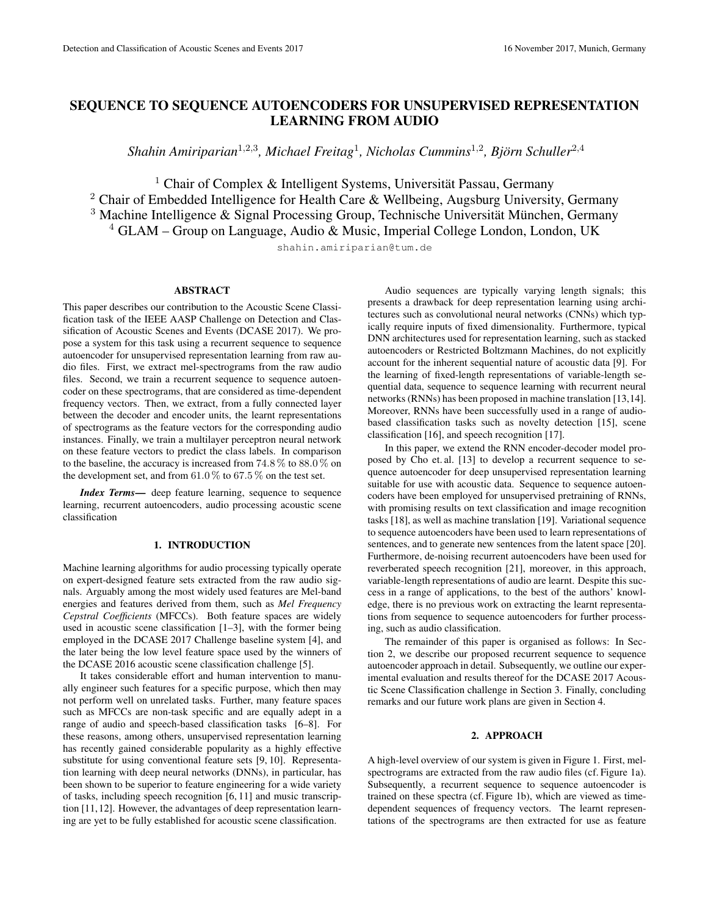# SEQUENCE TO SEQUENCE AUTOENCODERS FOR UNSUPERVISED REPRESENTATION LEARNING FROM AUDIO

Shahin Amiriparian<sup>1,2,3</sup>, Michael Freitag<sup>1</sup>, Nicholas Cummins<sup>1,2</sup>, Björn Schuller<sup>2,4</sup>

<sup>1</sup> Chair of Complex & Intelligent Systems, Universität Passau, Germany <sup>2</sup> Chair of Embedded Intelligence for Health Care & Wellbeing, Augsburg University, Germany <sup>3</sup> Machine Intelligence & Signal Processing Group, Technische Universität München, Germany  $4$  GLAM – Group on Language, Audio & Music, Imperial College London, London, UK

shahin.amiriparian@tum.de

## ABSTRACT

This paper describes our contribution to the Acoustic Scene Classification task of the IEEE AASP Challenge on Detection and Classification of Acoustic Scenes and Events (DCASE 2017). We propose a system for this task using a recurrent sequence to sequence autoencoder for unsupervised representation learning from raw audio files. First, we extract mel-spectrograms from the raw audio files. Second, we train a recurrent sequence to sequence autoencoder on these spectrograms, that are considered as time-dependent frequency vectors. Then, we extract, from a fully connected layer between the decoder and encoder units, the learnt representations of spectrograms as the feature vectors for the corresponding audio instances. Finally, we train a multilayer perceptron neural network on these feature vectors to predict the class labels. In comparison to the baseline, the accuracy is increased from 74.8 % to 88.0 % on the development set, and from  $61.0\%$  to  $67.5\%$  on the test set.

*Index Terms*— deep feature learning, sequence to sequence learning, recurrent autoencoders, audio processing acoustic scene classification

# 1. INTRODUCTION

Machine learning algorithms for audio processing typically operate on expert-designed feature sets extracted from the raw audio signals. Arguably among the most widely used features are Mel-band energies and features derived from them, such as *Mel Frequency Cepstral Coefficients* (MFCCs). Both feature spaces are widely used in acoustic scene classification [1–3], with the former being employed in the DCASE 2017 Challenge baseline system [4], and the later being the low level feature space used by the winners of the DCASE 2016 acoustic scene classification challenge [5].

It takes considerable effort and human intervention to manually engineer such features for a specific purpose, which then may not perform well on unrelated tasks. Further, many feature spaces such as MFCCs are non-task specific and are equally adept in a range of audio and speech-based classification tasks [6–8]. For these reasons, among others, unsupervised representation learning has recently gained considerable popularity as a highly effective substitute for using conventional feature sets [9, 10]. Representation learning with deep neural networks (DNNs), in particular, has been shown to be superior to feature engineering for a wide variety of tasks, including speech recognition [6, 11] and music transcription [11,12]. However, the advantages of deep representation learning are yet to be fully established for acoustic scene classification.

Audio sequences are typically varying length signals; this presents a drawback for deep representation learning using architectures such as convolutional neural networks (CNNs) which typically require inputs of fixed dimensionality. Furthermore, typical DNN architectures used for representation learning, such as stacked autoencoders or Restricted Boltzmann Machines, do not explicitly account for the inherent sequential nature of acoustic data [9]. For the learning of fixed-length representations of variable-length sequential data, sequence to sequence learning with recurrent neural networks (RNNs) has been proposed in machine translation [13,14]. Moreover, RNNs have been successfully used in a range of audiobased classification tasks such as novelty detection [15], scene classification [16], and speech recognition [17].

In this paper, we extend the RNN encoder-decoder model proposed by Cho et. al. [13] to develop a recurrent sequence to sequence autoencoder for deep unsupervised representation learning suitable for use with acoustic data. Sequence to sequence autoencoders have been employed for unsupervised pretraining of RNNs, with promising results on text classification and image recognition tasks [18], as well as machine translation [19]. Variational sequence to sequence autoencoders have been used to learn representations of sentences, and to generate new sentences from the latent space [20]. Furthermore, de-noising recurrent autoencoders have been used for reverberated speech recognition [21], moreover, in this approach, variable-length representations of audio are learnt. Despite this success in a range of applications, to the best of the authors' knowledge, there is no previous work on extracting the learnt representations from sequence to sequence autoencoders for further processing, such as audio classification.

The remainder of this paper is organised as follows: In Section 2, we describe our proposed recurrent sequence to sequence autoencoder approach in detail. Subsequently, we outline our experimental evaluation and results thereof for the DCASE 2017 Acoustic Scene Classification challenge in Section 3. Finally, concluding remarks and our future work plans are given in Section 4.

## 2. APPROACH

A high-level overview of our system is given in Figure 1. First, melspectrograms are extracted from the raw audio files (cf. Figure 1a). Subsequently, a recurrent sequence to sequence autoencoder is trained on these spectra (cf. Figure 1b), which are viewed as timedependent sequences of frequency vectors. The learnt representations of the spectrograms are then extracted for use as feature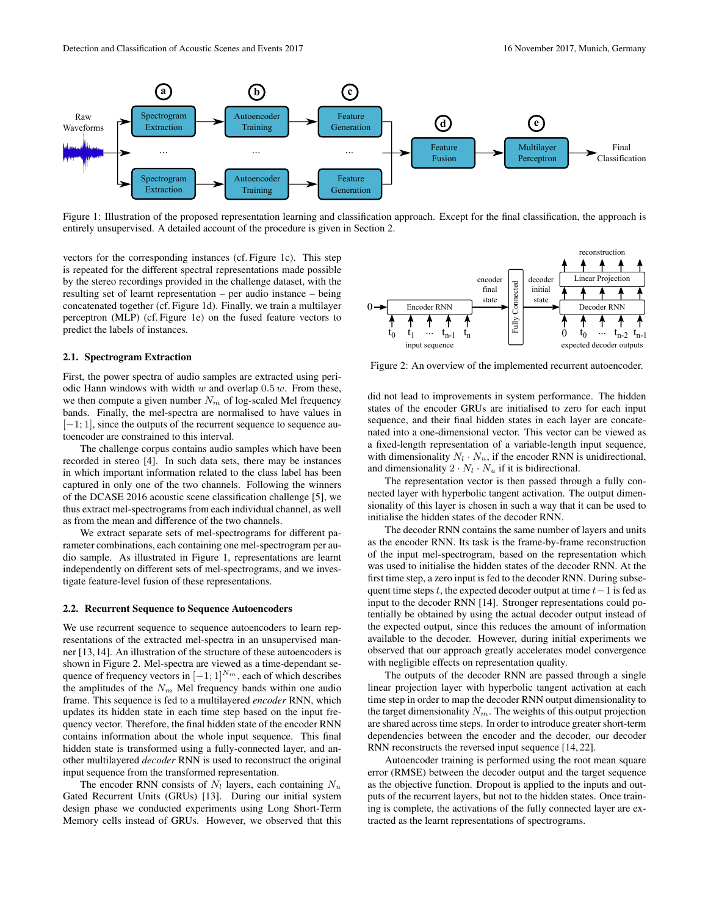

Figure 1: Illustration of the proposed representation learning and classification approach. Except for the final classification, the approach is entirely unsupervised. A detailed account of the procedure is given in Section 2.

vectors for the corresponding instances (cf. Figure 1c). This step is repeated for the different spectral representations made possible by the stereo recordings provided in the challenge dataset, with the resulting set of learnt representation – per audio instance – being concatenated together (cf. Figure 1d). Finally, we train a multilayer perceptron (MLP) (cf. Figure 1e) on the fused feature vectors to predict the labels of instances.

## 2.1. Spectrogram Extraction

First, the power spectra of audio samples are extracted using periodic Hann windows with width  $w$  and overlap  $0.5 w$ . From these, we then compute a given number  $N_m$  of log-scaled Mel frequency bands. Finally, the mel-spectra are normalised to have values in  $[-1; 1]$ , since the outputs of the recurrent sequence to sequence autoencoder are constrained to this interval.

The challenge corpus contains audio samples which have been recorded in stereo [4]. In such data sets, there may be instances in which important information related to the class label has been captured in only one of the two channels. Following the winners of the DCASE 2016 acoustic scene classification challenge [5], we thus extract mel-spectrograms from each individual channel, as well as from the mean and difference of the two channels.

We extract separate sets of mel-spectrograms for different parameter combinations, each containing one mel-spectrogram per audio sample. As illustrated in Figure 1, representations are learnt independently on different sets of mel-spectrograms, and we investigate feature-level fusion of these representations.

#### 2.2. Recurrent Sequence to Sequence Autoencoders

We use recurrent sequence to sequence autoencoders to learn representations of the extracted mel-spectra in an unsupervised manner [13,14]. An illustration of the structure of these autoencoders is shown in Figure 2. Mel-spectra are viewed as a time-dependant sequence of frequency vectors in  $[-1; 1]^{N_m}$ , each of which describes the amplitudes of the  $N_m$  Mel frequency bands within one audio frame. This sequence is fed to a multilayered *encoder* RNN, which updates its hidden state in each time step based on the input frequency vector. Therefore, the final hidden state of the encoder RNN contains information about the whole input sequence. This final hidden state is transformed using a fully-connected layer, and another multilayered *decoder* RNN is used to reconstruct the original input sequence from the transformed representation. given the certain of the properties of the two channels instead of the certain of the certain of the certain of the Connected of GRUs. However, we can be a set of the certain of the certain of the certain of the certain o

The encoder RNN consists of  $N_l$  layers, each containing  $N_u$ Gated Recurrent Units (GRUs) [13]. During our initial system design phase we conducted experiments using Long Short-Term



Figure 2: An overview of the implemented recurrent autoencoder.

did not lead to improvements in system performance. The hidden states of the encoder GRUs are initialised to zero for each input sequence, and their final hidden states in each layer are concatenated into a one-dimensional vector. This vector can be viewed as a fixed-length representation of a variable-length input sequence, with dimensionality  $N_l \cdot N_u$ , if the encoder RNN is unidirectional, and dimensionality  $2 \cdot N_l \cdot N_u$  if it is bidirectional.

The representation vector is then passed through a fully connected layer with hyperbolic tangent activation. The output dimensionality of this layer is chosen in such a way that it can be used to initialise the hidden states of the decoder RNN.

The decoder RNN contains the same number of layers and units as the encoder RNN. Its task is the frame-by-frame reconstruction of the input mel-spectrogram, based on the representation which was used to initialise the hidden states of the decoder RNN. At the first time step, a zero input is fed to the decoder RNN. During subsequent time steps t, the expected decoder output at time  $t-1$  is fed as input to the decoder RNN [14]. Stronger representations could potentially be obtained by using the actual decoder output instead of the expected output, since this reduces the amount of information available to the decoder. However, during initial experiments we observed that our approach greatly accelerates model convergence with negligible effects on representation quality.

The outputs of the decoder RNN are passed through a single linear projection layer with hyperbolic tangent activation at each time step in order to map the decoder RNN output dimensionality to the target dimensionality  $N_m$ . The weights of this output projection are shared across time steps. In order to introduce greater short-term dependencies between the encoder and the decoder, our decoder RNN reconstructs the reversed input sequence [14, 22].

Autoencoder training is performed using the root mean square error (RMSE) between the decoder output and the target sequence as the objective function. Dropout is applied to the inputs and outputs of the recurrent layers, but not to the hidden states. Once training is complete, the activations of the fully connected layer are extracted as the learnt representations of spectrograms.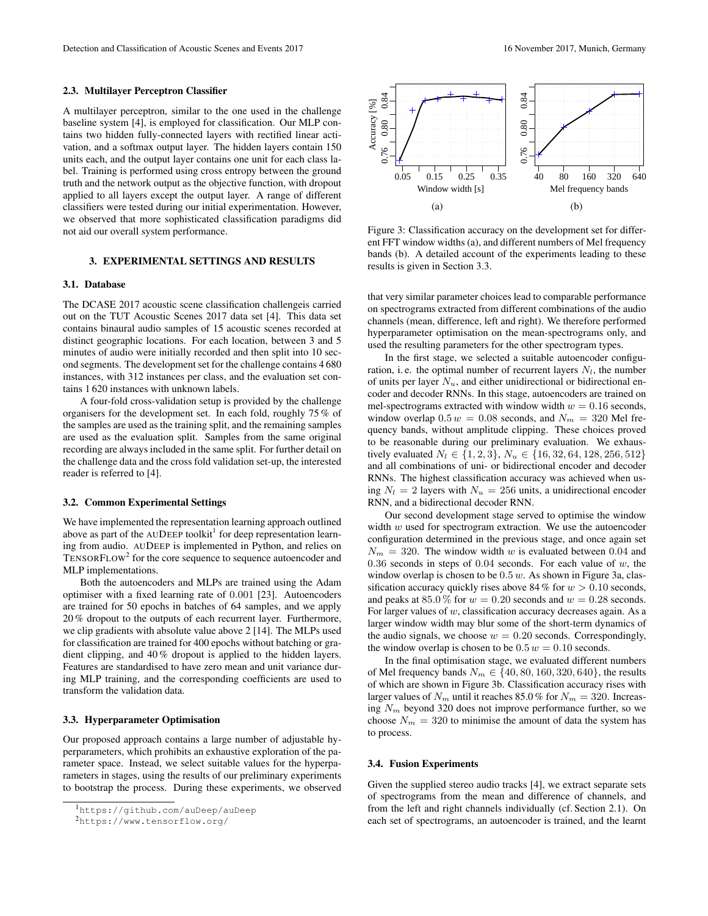#### 2.3. Multilayer Perceptron Classifier

A multilayer perceptron, similar to the one used in the challenge baseline system [4], is employed for classification. Our MLP contains two hidden fully-connected layers with rectified linear activation, and a softmax output layer. The hidden layers contain 150 units each, and the output layer contains one unit for each class label. Training is performed using cross entropy between the ground truth and the network output as the objective function, with dropout applied to all layers except the output layer. A range of different classifiers were tested during our initial experimentation. However, we observed that more sophisticated classification paradigms did not aid our overall system performance.

# 3. EXPERIMENTAL SETTINGS AND RESULTS

# 3.1. Database

The DCASE 2017 acoustic scene classification challengeis carried out on the TUT Acoustic Scenes 2017 data set [4]. This data set contains binaural audio samples of 15 acoustic scenes recorded at distinct geographic locations. For each location, between 3 and 5 minutes of audio were initially recorded and then split into 10 second segments. The development set for the challenge contains 4 680 instances, with 312 instances per class, and the evaluation set contains 1 620 instances with unknown labels.

A four-fold cross-validation setup is provided by the challenge organisers for the development set. In each fold, roughly 75 % of the samples are used as the training split, and the remaining samples are used as the evaluation split. Samples from the same original recording are always included in the same split. For further detail on the challenge data and the cross fold validation set-up, the interested reader is referred to [4].

### 3.2. Common Experimental Settings

We have implemented the representation learning approach outlined above as part of the AUDEEP toolkit<sup>1</sup> for deep representation learning from audio. AUDEEP is implemented in Python, and relies on  $TensorFLOW<sup>2</sup>$  for the core sequence to sequence autoencoder and MLP implementations.

Both the autoencoders and MLPs are trained using the Adam optimiser with a fixed learning rate of 0.001 [23]. Autoencoders are trained for 50 epochs in batches of 64 samples, and we apply 20 % dropout to the outputs of each recurrent layer. Furthermore, we clip gradients with absolute value above 2 [14]. The MLPs used for classification are trained for 400 epochs without batching or gradient clipping, and 40 % dropout is applied to the hidden layers. Features are standardised to have zero mean and unit variance during MLP training, and the corresponding coefficients are used to transform the validation data.

## 3.3. Hyperparameter Optimisation

Our proposed approach contains a large number of adjustable hyperparameters, which prohibits an exhaustive exploration of the parameter space. Instead, we select suitable values for the hyperparameters in stages, using the results of our preliminary experiments to bootstrap the process. During these experiments, we observed



Figure 3: Classification accuracy on the development set for different FFT window widths (a), and different numbers of Mel frequency bands (b). A detailed account of the experiments leading to these results is given in Section 3.3.

that very similar parameter choices lead to comparable performance on spectrograms extracted from different combinations of the audio channels (mean, difference, left and right). We therefore performed hyperparameter optimisation on the mean-spectrograms only, and used the resulting parameters for the other spectrogram types.

In the first stage, we selected a suitable autoencoder configuration, i.e. the optimal number of recurrent layers  $N_l$ , the number of units per layer  $N_u$ , and either unidirectional or bidirectional encoder and decoder RNNs. In this stage, autoencoders are trained on mel-spectrograms extracted with window width  $w = 0.16$  seconds, window overlap  $0.5 w = 0.08$  seconds, and  $N_m = 320$  Mel frequency bands, without amplitude clipping. These choices proved to be reasonable during our preliminary evaluation. We exhaustively evaluated  $N_l \in \{1, 2, 3\}, N_u \in \{16, 32, 64, 128, 256, 512\}$ and all combinations of uni- or bidirectional encoder and decoder RNNs. The highest classification accuracy was achieved when using  $N_l = 2$  layers with  $N_u = 256$  units, a unidirectional encoder RNN, and a bidirectional decoder RNN.

Our second development stage served to optimise the window width  $w$  used for spectrogram extraction. We use the autoencoder configuration determined in the previous stage, and once again set  $N_m = 320$ . The window width w is evaluated between 0.04 and 0.36 seconds in steps of 0.04 seconds. For each value of  $w$ , the window overlap is chosen to be  $0.5 w$ . As shown in Figure 3a, classification accuracy quickly rises above 84 % for  $w > 0.10$  seconds, and peaks at 85.0 % for  $w = 0.20$  seconds and  $w = 0.28$  seconds. For larger values of  $w$ , classification accuracy decreases again. As a larger window width may blur some of the short-term dynamics of the audio signals, we choose  $w = 0.20$  seconds. Correspondingly, the window overlap is chosen to be  $0.5 w = 0.10$  seconds.

In the final optimisation stage, we evaluated different numbers of Mel frequency bands  $N_m \in \{40, 80, 160, 320, 640\}$ , the results of which are shown in Figure 3b. Classification accuracy rises with larger values of  $N_m$  until it reaches 85.0% for  $N_m = 320$ . Increasing  $N_m$  beyond 320 does not improve performance further, so we choose  $N_m = 320$  to minimise the amount of data the system has to process.

## 3.4. Fusion Experiments

Given the supplied stereo audio tracks [4], we extract separate sets of spectrograms from the mean and difference of channels, and from the left and right channels individually (cf. Section 2.1). On each set of spectrograms, an autoencoder is trained, and the learnt

<sup>1</sup>https://github.com/auDeep/auDeep

<sup>2</sup>https://www.tensorflow.org/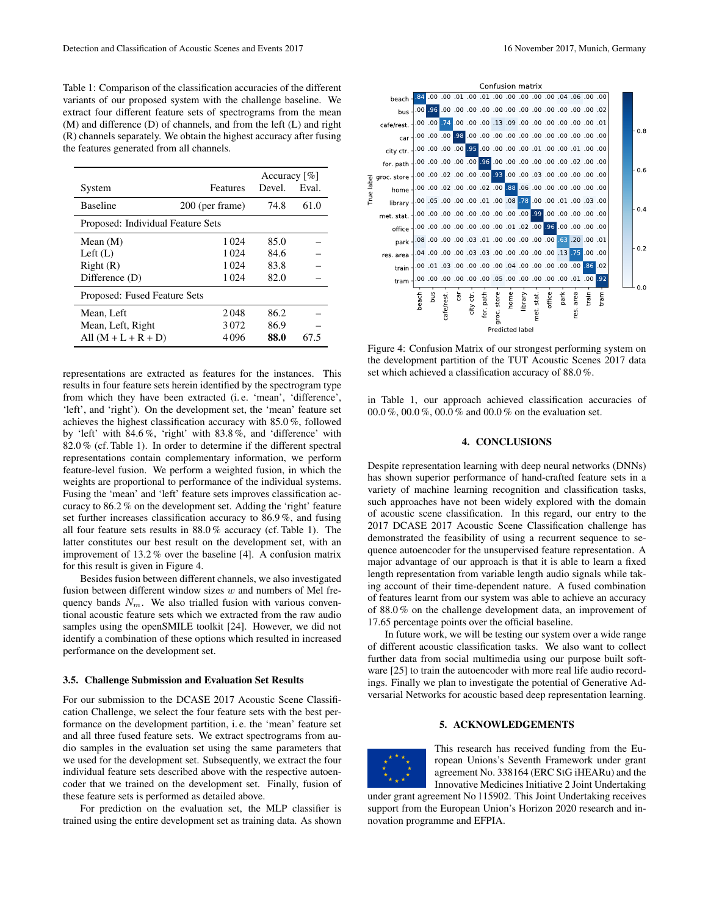Table 1: Comparison of the classification accuracies of the different variants of our proposed system with the challenge baseline. We extract four different feature sets of spectrograms from the mean (M) and difference (D) of channels, and from the left (L) and right (R) channels separately. We obtain the highest accuracy after fusing the features generated from all channels.

|                                   |                 | Accuracy $\lceil\% \rceil$ |       |
|-----------------------------------|-----------------|----------------------------|-------|
| System                            | Features        | Devel.                     | Eval. |
| <b>Baseline</b>                   | 200 (per frame) | 74.8                       | 61.0  |
| Proposed: Individual Feature Sets |                 |                            |       |
| Mean $(M)$                        | 1 0 2 4         | 85.0                       |       |
| Left $(L)$                        | 1 0 2 4         | 84.6                       |       |
| Right(R)                          | 1 0 2 4         | 83.8                       |       |
| Difference (D)                    | 1 0 2 4         | 82.0                       |       |
| Proposed: Fused Feature Sets      |                 |                            |       |
| Mean, Left                        | 2048            | 86.2                       |       |
| Mean, Left, Right                 | 3072            | 86.9                       |       |
| All $(M + L + R + D)$             | 4096            | 88.0                       | 67.5  |

representations are extracted as features for the instances. This results in four feature sets herein identified by the spectrogram type from which they have been extracted (i. e. 'mean', 'difference', 'left', and 'right'). On the development set, the 'mean' feature set achieves the highest classification accuracy with 85.0 %, followed by 'left' with 84.6 %, 'right' with 83.8 %, and 'difference' with 82.0 % (cf. Table 1). In order to determine if the different spectral representations contain complementary information, we perform feature-level fusion. We perform a weighted fusion, in which the weights are proportional to performance of the individual systems. Fusing the 'mean' and 'left' feature sets improves classification accuracy to 86.2 % on the development set. Adding the 'right' feature set further increases classification accuracy to 86.9 %, and fusing all four feature sets results in 88.0 % accuracy (cf. Table 1). The latter constitutes our best result on the development set, with an improvement of 13.2 % over the baseline [4]. A confusion matrix for this result is given in Figure 4.

Besides fusion between different channels, we also investigated fusion between different window sizes  $w$  and numbers of Mel frequency bands  $N_m$ . We also trialled fusion with various conventional acoustic feature sets which we extracted from the raw audio samples using the openSMILE toolkit [24]. However, we did not identify a combination of these options which resulted in increased performance on the development set.

#### 3.5. Challenge Submission and Evaluation Set Results

For our submission to the DCASE 2017 Acoustic Scene Classification Challenge, we select the four feature sets with the best performance on the development partition, i. e. the 'mean' feature set and all three fused feature sets. We extract spectrograms from audio samples in the evaluation set using the same parameters that we used for the development set. Subsequently, we extract the four individual feature sets described above with the respective autoencoder that we trained on the development set. Finally, fusion of these feature sets is performed as detailed above.

For prediction on the evaluation set, the MLP classifier is trained using the entire development set as training data. As shown



Figure 4: Confusion Matrix of our strongest performing system on the development partition of the TUT Acoustic Scenes 2017 data set which achieved a classification accuracy of 88.0 %.

in Table 1, our approach achieved classification accuracies of 00.0 %, 00.0 %, 00.0 % and 00.0 % on the evaluation set.

## 4. CONCLUSIONS

Despite representation learning with deep neural networks (DNNs) has shown superior performance of hand-crafted feature sets in a variety of machine learning recognition and classification tasks, such approaches have not been widely explored with the domain of acoustic scene classification. In this regard, our entry to the 2017 DCASE 2017 Acoustic Scene Classification challenge has demonstrated the feasibility of using a recurrent sequence to sequence autoencoder for the unsupervised feature representation. A major advantage of our approach is that it is able to learn a fixed length representation from variable length audio signals while taking account of their time-dependent nature. A fused combination of features learnt from our system was able to achieve an accuracy of 88.0 % on the challenge development data, an improvement of 17.65 percentage points over the official baseline.

In future work, we will be testing our system over a wide range of different acoustic classification tasks. We also want to collect further data from social multimedia using our purpose built software [25] to train the autoencoder with more real life audio recordings. Finally we plan to investigate the potential of Generative Adversarial Networks for acoustic based deep representation learning.

## 5. ACKNOWLEDGEMENTS



This research has received funding from the European Unions's Seventh Framework under grant agreement No. 338164 (ERC StG iHEARu) and the Innovative Medicines Initiative 2 Joint Undertaking

under grant agreement No 115902. This Joint Undertaking receives support from the European Union's Horizon 2020 research and innovation programme and EFPIA.